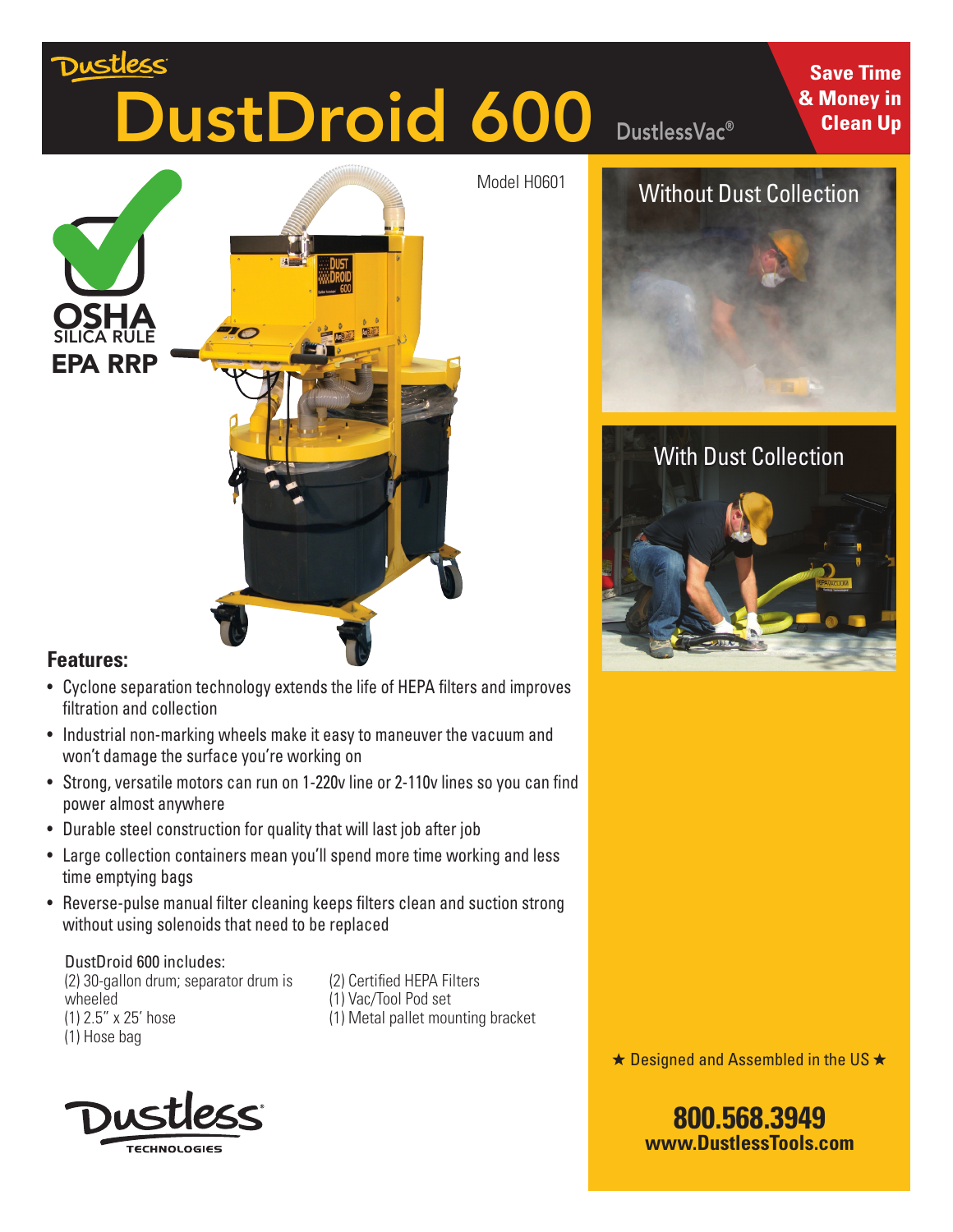# <u>Dustles</u>s DustDroid 600

**OSHA** SILICA RULE PA RRP

#### **Features:**

- Cyclone separation technology extends the life of HEPA filters and improves filtration and collection
- Industrial non-marking wheels make it easy to maneuver the vacuum and won't damage the surface you're working on
- Strong, versatile motors can run on 1-220v line or 2-110v lines so you can find power almost anywhere
- Durable steel construction for quality that will last job after job
- Large collection containers mean you'll spend more time working and less time emptying bags
- Reverse-pulse manual filter cleaning keeps filters clean and suction strong without using solenoids that need to be replaced

DustDroid 600 includes: (2) 30-gallon drum; separator drum is wheeled (1) 2.5" x 25' hose (1) Hose bag

(2) Certified HEPA Filters (1) Vac/Tool Pod set (1) Metal pallet mounting bracket





DustlessVac®

Model H0601



### Without Dust Collection



### With Dust Collection



 $\star$  Designed and Assembled in the US  $\star$ 

**800.568.3949 www.DustlessTools.com**